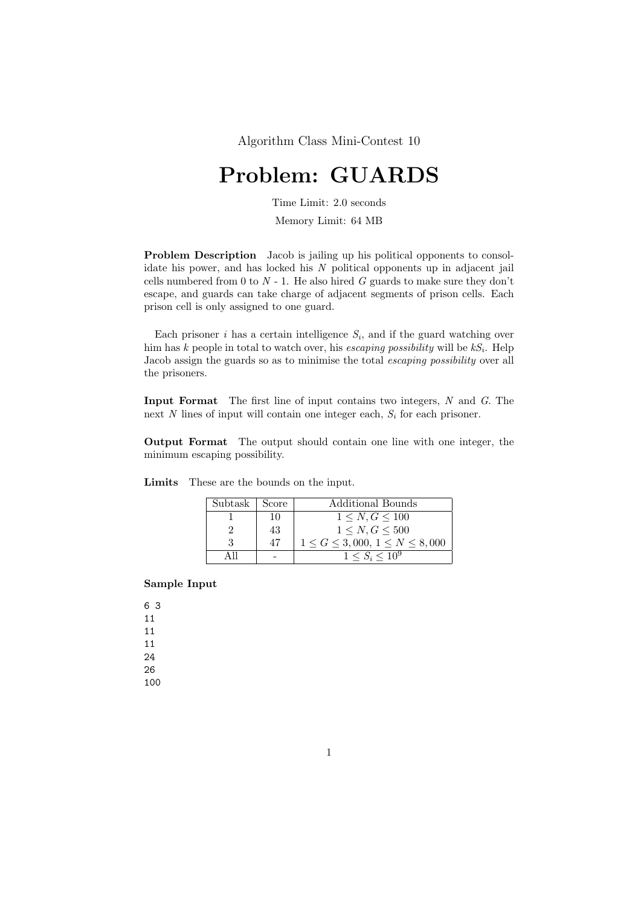Algorithm Class Mini-Contest 10

## Problem: GUARDS

Time Limit: 2.0 seconds

Memory Limit: 64 MB

Problem Description Jacob is jailing up his political opponents to consolidate his power, and has locked his  $N$  political opponents up in adjacent jail cells numbered from 0 to  $N - 1$ . He also hired G guards to make sure they don't escape, and guards can take charge of adjacent segments of prison cells. Each prison cell is only assigned to one guard.

Each prisoner *i* has a certain intelligence  $S_i$ , and if the guard watching over him has k people in total to watch over, his *escaping possibility* will be  $kS_i$ . Help Jacob assign the guards so as to minimise the total escaping possibility over all the prisoners.

Input Format The first line of input contains two integers, N and G. The next  $N$  lines of input will contain one integer each,  $S_i$  for each prisoner.

Output Format The output should contain one line with one integer, the minimum escaping possibility.

| Subtask | Score | Additional Bounds                      |
|---------|-------|----------------------------------------|
|         | 10    | $1 \leq N, G \leq 100$                 |
|         | 43    | 1 < N, G < 500                         |
|         | 47    | $1 \le G \le 3,000, 1 \le N \le 8,000$ |
|         |       | $1 \le S_i \le 10^9$                   |

Limits These are the bounds on the input.

## Sample Input

100